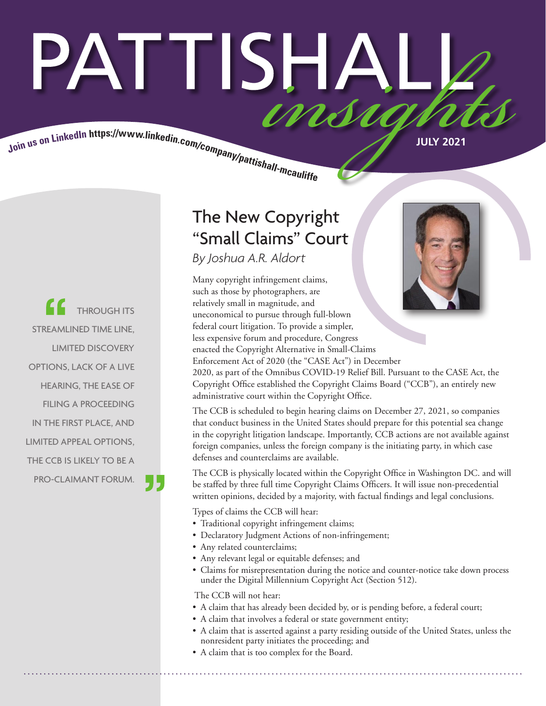# PATTISHAI Join us on LinkedIn https://www.linkedin.com/company/pattishall-mcaulist.

THROUGH ITS STREAMLINED TIME LINE, LIMITED DISCOVERY OPTIONS, LACK OF A LIVE HEARING, THE EASE OF FILING A PROCEEDING IN THE FIRST PLACE, AND LIMITED APPEAL OPTIONS, THE CCB IS LIKELY TO BE A PRO-CLAIMANT FORUM.

### The New Copyright "Small Claims" Court

*By Joshua A.R. Aldort* 

Many copyright infringement claims, such as those by photographers, are relatively small in magnitude, and uneconomical to pursue through full-blown federal court litigation. To provide a simpler, less expensive forum and procedure, Congress enacted the Copyright Alternative in Small-Claims Enforcement Act of 2020 (the "CASE Act") in December



2020, as part of the Omnibus COVID-19 Relief Bill. Pursuant to the CASE Act, the Copyright Office established the Copyright Claims Board ("CCB"), an entirely new administrative court within the Copyright Office.

The CCB is scheduled to begin hearing claims on December 27, 2021, so companies that conduct business in the United States should prepare for this potential sea change in the copyright litigation landscape. Importantly, CCB actions are not available against foreign companies, unless the foreign company is the initiating party, in which case defenses and counterclaims are available.

The CCB is physically located within the Copyright Office in Washington DC. and will be staffed by three full time Copyright Claims Officers. It will issue non-precedential written opinions, decided by a majority, with factual findings and legal conclusions.

Types of claims the CCB will hear:

- Traditional copyright infringement claims;
- Declaratory Judgment Actions of non-infringement;
- Any related counterclaims;
- Any relevant legal or equitable defenses; and
- Claims for misrepresentation during the notice and counter-notice take down process under the Digital Millennium Copyright Act (Section 512).

The CCB will not hear:

- A claim that has already been decided by, or is pending before, a federal court;
- A claim that involves a federal or state government entity;
- A claim that is asserted against a party residing outside of the United States, unless the nonresident party initiates the proceeding; and
- A claim that is too complex for the Board.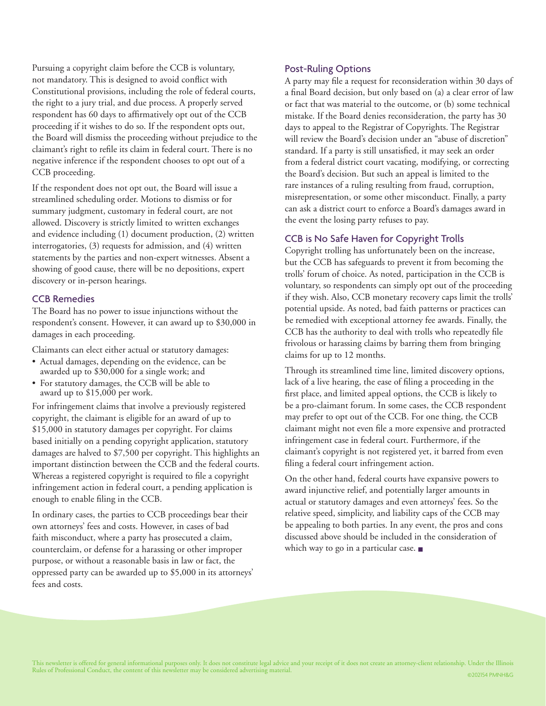Pursuing a copyright claim before the CCB is voluntary, not mandatory. This is designed to avoid conflict with Constitutional provisions, including the role of federal courts, the right to a jury trial, and due process. A properly served respondent has 60 days to affirmatively opt out of the CCB proceeding if it wishes to do so. If the respondent opts out, the Board will dismiss the proceeding without prejudice to the claimant's right to refile its claim in federal court. There is no negative inference if the respondent chooses to opt out of a CCB proceeding.

If the respondent does not opt out, the Board will issue a streamlined scheduling order. Motions to dismiss or for summary judgment, customary in federal court, are not allowed. Discovery is strictly limited to written exchanges and evidence including (1) document production, (2) written interrogatories, (3) requests for admission, and (4) written statements by the parties and non-expert witnesses. Absent a showing of good cause, there will be no depositions, expert discovery or in-person hearings.

### CCB Remedies

The Board has no power to issue injunctions without the respondent's consent. However, it can award up to \$30,000 in damages in each proceeding.

Claimants can elect either actual or statutory damages:

- Actual damages, depending on the evidence, can be awarded up to \$30,000 for a single work; and
- For statutory damages, the CCB will be able to award up to \$15,000 per work.

For infringement claims that involve a previously registered copyright, the claimant is eligible for an award of up to \$15,000 in statutory damages per copyright. For claims based initially on a pending copyright application, statutory damages are halved to \$7,500 per copyright. This highlights an important distinction between the CCB and the federal courts. Whereas a registered copyright is required to file a copyright infringement action in federal court, a pending application is enough to enable filing in the CCB.

In ordinary cases, the parties to CCB proceedings bear their own attorneys' fees and costs. However, in cases of bad faith misconduct, where a party has prosecuted a claim, counterclaim, or defense for a harassing or other improper purpose, or without a reasonable basis in law or fact, the oppressed party can be awarded up to \$5,000 in its attorneys' fees and costs.

### Post-Ruling Options

A party may file a request for reconsideration within 30 days of a final Board decision, but only based on (a) a clear error of law or fact that was material to the outcome, or (b) some technical mistake. If the Board denies reconsideration, the party has 30 days to appeal to the Registrar of Copyrights. The Registrar will review the Board's decision under an "abuse of discretion" standard. If a party is still unsatisfied, it may seek an order from a federal district court vacating, modifying, or correcting the Board's decision. But such an appeal is limited to the rare instances of a ruling resulting from fraud, corruption, misrepresentation, or some other misconduct. Finally, a party can ask a district court to enforce a Board's damages award in the event the losing party refuses to pay.

### CCB is No Safe Haven for Copyright Trolls

Copyright trolling has unfortunately been on the increase, but the CCB has safeguards to prevent it from becoming the trolls' forum of choice. As noted, participation in the CCB is voluntary, so respondents can simply opt out of the proceeding if they wish. Also, CCB monetary recovery caps limit the trolls' potential upside. As noted, bad faith patterns or practices can be remedied with exceptional attorney fee awards. Finally, the CCB has the authority to deal with trolls who repeatedly file frivolous or harassing claims by barring them from bringing claims for up to 12 months.

Through its streamlined time line, limited discovery options, lack of a live hearing, the ease of filing a proceeding in the first place, and limited appeal options, the CCB is likely to be a pro-claimant forum. In some cases, the CCB respondent may prefer to opt out of the CCB. For one thing, the CCB claimant might not even file a more expensive and protracted infringement case in federal court. Furthermore, if the claimant's copyright is not registered yet, it barred from even filing a federal court infringement action.

On the other hand, federal courts have expansive powers to award injunctive relief, and potentially larger amounts in actual or statutory damages and even attorneys' fees. So the relative speed, simplicity, and liability caps of the CCB may be appealing to both parties. In any event, the pros and cons discussed above should be included in the consideration of which way to go in a particular case.  $\blacksquare$